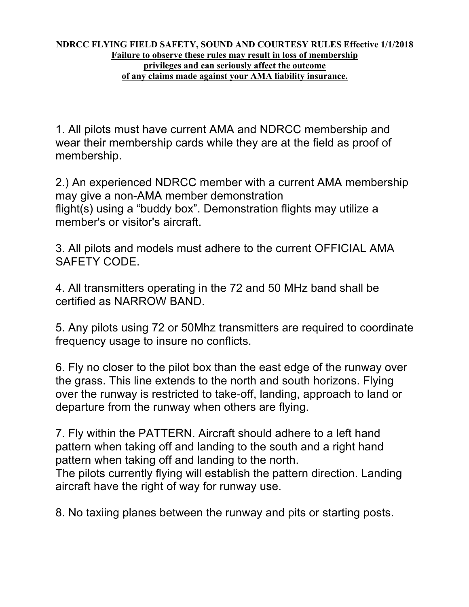## **NDRCC FLYING FIELD SAFETY, SOUND AND COURTESY RULES Effective 1/1/2018 Failure to observe these rules may result in loss of membership privileges and can seriously affect the outcome of any claims made against your AMA liability insurance.**

1. All pilots must have current AMA and NDRCC membership and wear their membership cards while they are at the field as proof of membership.

2.) An experienced NDRCC member with a current AMA membership may give a non-AMA member demonstration flight(s) using a "buddy box". Demonstration flights may utilize a member's or visitor's aircraft.

3. All pilots and models must adhere to the current OFFICIAL AMA SAFETY CODE.

4. All transmitters operating in the 72 and 50 MHz band shall be certified as NARROW BAND.

5. Any pilots using 72 or 50Mhz transmitters are required to coordinate frequency usage to insure no conflicts.

6. Fly no closer to the pilot box than the east edge of the runway over the grass. This line extends to the north and south horizons. Flying over the runway is restricted to take-off, landing, approach to land or departure from the runway when others are flying.

7. Fly within the PATTERN. Aircraft should adhere to a left hand pattern when taking off and landing to the south and a right hand pattern when taking off and landing to the north.

The pilots currently flying will establish the pattern direction. Landing aircraft have the right of way for runway use.

8. No taxiing planes between the runway and pits or starting posts.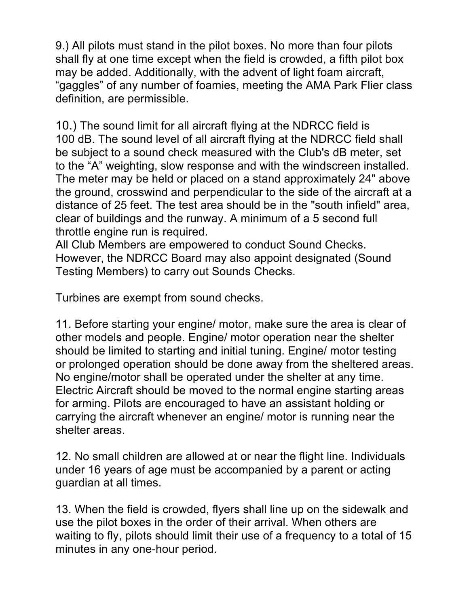9.) All pilots must stand in the pilot boxes. No more than four pilots shall fly at one time except when the field is crowded, a fifth pilot box may be added. Additionally, with the advent of light foam aircraft, "gaggles" of any number of foamies, meeting the AMA Park Flier class definition, are permissible.

10.) The sound limit for all aircraft flying at the NDRCC field is 100 dB. The sound level of all aircraft flying at the NDRCC field shall be subject to a sound check measured with the Club's dB meter, set to the "A" weighting, slow response and with the windscreen installed. The meter may be held or placed on a stand approximately 24" above the ground, crosswind and perpendicular to the side of the aircraft at a distance of 25 feet. The test area should be in the "south infield" area, clear of buildings and the runway. A minimum of a 5 second full throttle engine run is required.

All Club Members are empowered to conduct Sound Checks. However, the NDRCC Board may also appoint designated (Sound Testing Members) to carry out Sounds Checks.

Turbines are exempt from sound checks.

11. Before starting your engine/ motor, make sure the area is clear of other models and people. Engine/ motor operation near the shelter should be limited to starting and initial tuning. Engine/ motor testing or prolonged operation should be done away from the sheltered areas. No engine/motor shall be operated under the shelter at any time. Electric Aircraft should be moved to the normal engine starting areas for arming. Pilots are encouraged to have an assistant holding or carrying the aircraft whenever an engine/ motor is running near the shelter areas.

12. No small children are allowed at or near the flight line. Individuals under 16 years of age must be accompanied by a parent or acting guardian at all times.

13. When the field is crowded, flyers shall line up on the sidewalk and use the pilot boxes in the order of their arrival. When others are waiting to fly, pilots should limit their use of a frequency to a total of 15 minutes in any one-hour period.